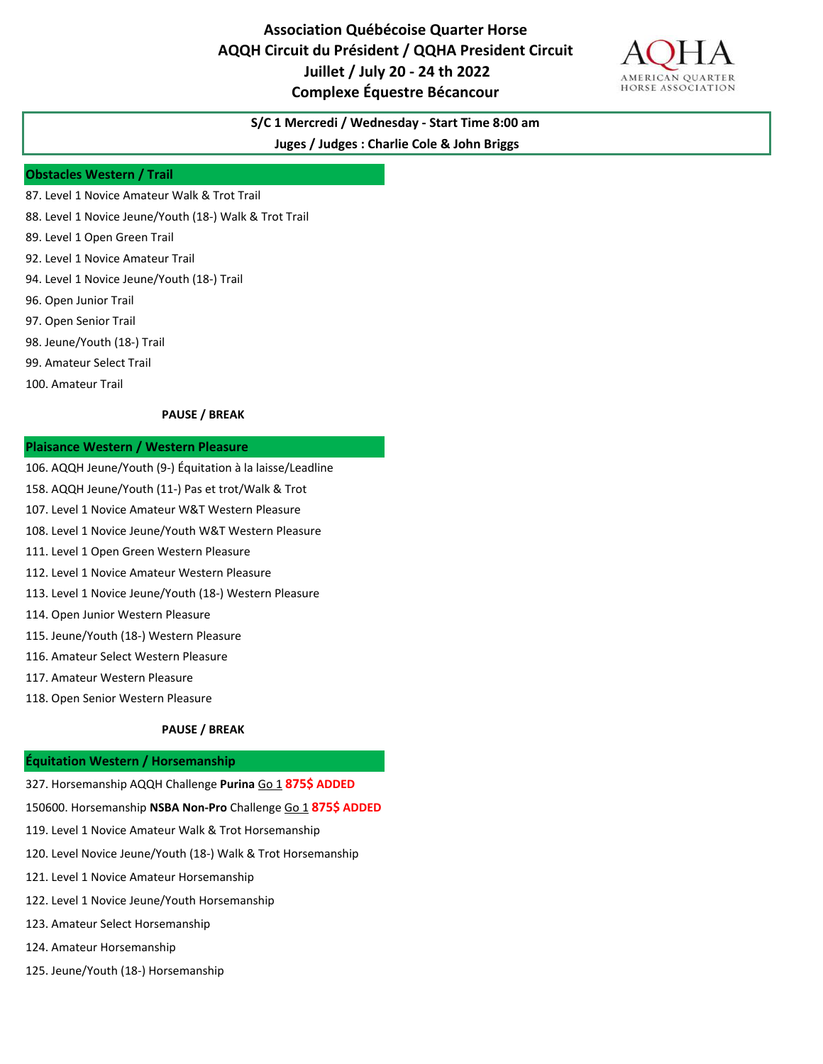# **Association Québécoise Quarter Horse AQQH Circuit du Président / QQHA President Circuit Juillet / July 20 - 24 th 2022 Complexe Équestre Bécancour**



# **S/C 1 Mercredi / Wednesday - Start Time 8:00 am**

**Juges / Judges : Charlie Cole & John Briggs**

#### **Obstacles Western / Trail**

- 87. Level 1 Novice Amateur Walk & Trot Trail
- 88. Level 1 Novice Jeune/Youth (18-) Walk & Trot Trail
- 89. Level 1 Open Green Trail
- 92. Level 1 Novice Amateur Trail
- 94. Level 1 Novice Jeune/Youth (18-) Trail
- 96. Open Junior Trail
- 97. Open Senior Trail
- 98. Jeune/Youth (18-) Trail
- 99. Amateur Select Trail
- 100. Amateur Trail

#### **PAUSE / BREAK**

#### **Plaisance Western / Western Pleasure**

- 106. AQQH Jeune/Youth (9-) Équitation à la laisse/Leadline
- 158. AQQH Jeune/Youth (11-) Pas et trot/Walk & Trot
- 107. Level 1 Novice Amateur W&T Western Pleasure
- 108. Level 1 Novice Jeune/Youth W&T Western Pleasure
- 111. Level 1 Open Green Western Pleasure
- 112. Level 1 Novice Amateur Western Pleasure
- 113. Level 1 Novice Jeune/Youth (18-) Western Pleasure
- 114. Open Junior Western Pleasure
- 115. Jeune/Youth (18-) Western Pleasure
- 116. Amateur Select Western Pleasure
- 117. Amateur Western Pleasure
- 118. Open Senior Western Pleasure

#### **PAUSE / BREAK**

### **Équitation Western / Horsemanship**

- 327. Horsemanship AQQH Challenge **Purina** Go 1 **875\$ ADDED**
- 150600. Horsemanship **NSBA Non-Pro** Challenge Go 1 **875\$ ADDED**
- 119. Level 1 Novice Amateur Walk & Trot Horsemanship
- 120. Level Novice Jeune/Youth (18-) Walk & Trot Horsemanship
- 121. Level 1 Novice Amateur Horsemanship
- 122. Level 1 Novice Jeune/Youth Horsemanship
- 123. Amateur Select Horsemanship
- 124. Amateur Horsemanship
- 125. Jeune/Youth (18-) Horsemanship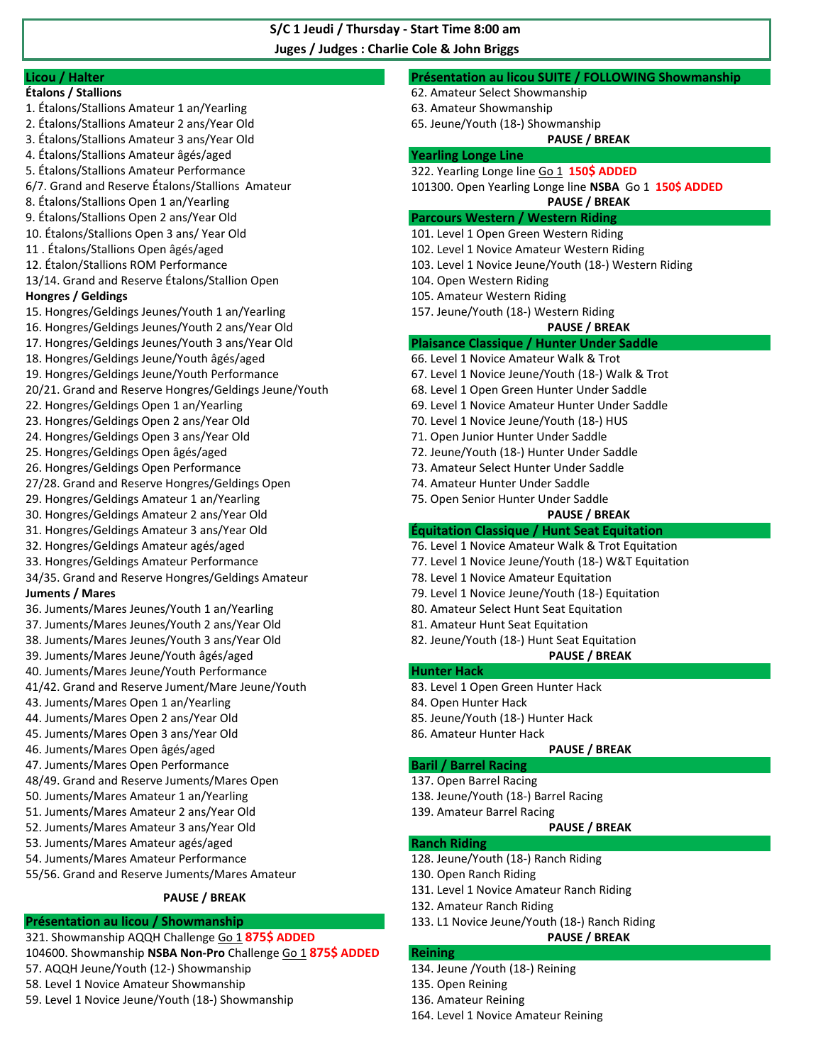**Juges / Judges : Charlie Cole & John Briggs S/C 1 Jeudi / Thursday - Start Time 8:00 am** 

### **Licou / Halter Présentation au licou SUITE / FOLLOWING Showmanship Étalons / Stallions** 62. Amateur Select Showmanship 1. Étalons/Stallions Amateur 1 an/Yearling 63. Amateur Showmanship 2. Étalons/Stallions Amateur 2 ans/Year Old 65. Jeune/Youth (18-) Showmanship 3. Étalons/Stallions Amateur 3 ans/Year Old **PAUSE / BREAK**  4. Étalons/Stallions Amateur âgés/aged **Yearling Longe Line** 5. Étalons/Stallions Amateur Performance 322. Yearling Longe line Go 1 **150\$ ADDED**  6/7. Grand and Reserve Étalons/Stallions Amateur 101300. Open Yearling Longe line **NSBA** Go 1 **150\$ ADDED** 8. Étalons/Stallions Open 1 an/Yearling **PAUSE / BREAK**  9. Étalons/Stallions Open 2 ans/Year Old **Parcours Western / Western Riding**  10. Étalons/Stallions Open 3 ans/ Year Old 101. Level 1 Open Green Western Riding 11 . Étalons/Stallions Open âgés/aged 102. Level 1 Novice Amateur Western Riding 12. Étalon/Stallions ROM Performance 103. Level 1 Novice Jeune/Youth (18-) Western Riding 13/14. Grand and Reserve Étalons/Stallion Open 104. Open Western Riding **Hongres / Geldings** 105. Amateur Western Riding 15. Hongres/Geldings Jeunes/Youth 1 an/Yearling 157. Jeune/Youth (18-) Western Riding 16. Hongres/Geldings Jeunes/Youth 2 ans/Year Old **PAUSE / BREAK**  17. Hongres/Geldings Jeunes/Youth 3 ans/Year Old **Plaisance Classique / Hunter Under Saddle**  18. Hongres/Geldings Jeune/Youth âgés/aged 66. Level 1 Novice Amateur Walk & Trot 19. Hongres/Geldings Jeune/Youth Performance 67. Level 1 Novice Jeune/Youth (18-) Walk & Trot 20/21. Grand and Reserve Hongres/Geldings Jeune/Youth 68. Level 1 Open Green Hunter Under Saddle 22. Hongres/Geldings Open 1 an/Yearling 69. Level 1 Novice Amateur Hunter Under Saddle 23. Hongres/Geldings Open 2 ans/Year Old 70. Level 1 Novice Jeune/Youth (18-) HUS 24. Hongres/Geldings Open 3 ans/Year Old 71. Open Junior Hunter Under Saddle 25. Hongres/Geldings Open âgés/aged 72. Jeune/Youth (18-) Hunter Under Saddle 26. Hongres/Geldings Open Performance 73. Amateur Select Hunter Under Saddle 27/28. Grand and Reserve Hongres/Geldings Open 74. Amateur Hunter Under Saddle 29. Hongres/Geldings Amateur 1 an/Yearling 75. Open Senior Hunter Under Saddle 30. Hongres/Geldings Amateur 2 ans/Year Old **PAUSE / BREAK**  31. Hongres/Geldings Amateur 3 ans/Year Old **Équitation Classique / Hunt Seat Equitation** 32. Hongres/Geldings Amateur agés/aged 76. Level 1 Novice Amateur Walk & Trot Equitation 33. Hongres/Geldings Amateur Performance 77. Level 1 Novice Jeune/Youth (18-) W&T Equitation 34/35. Grand and Reserve Hongres/Geldings Amateur 78. Level 1 Novice Amateur Equitation **Juments / Mares** 79. Level 1 Novice Jeune/Youth (18-) Equitation 36. Juments/Mares Jeunes/Youth 1 an/Yearling 80. Amateur Select Hunt Seat Equitation 37. Juments/Mares Jeunes/Youth 2 ans/Year Old 81. Amateur Hunt Seat Equitation 38. Juments/Mares Jeunes/Youth 3 ans/Year Old 82. Jeune/Youth (18-) Hunt Seat Equitation 39. Juments/Mares Jeune/Youth âgés/aged **PAUSE / BREAK** 40. Juments/Mares Jeune/Youth Performance **Hunter Hack Hunter Hack** 41/42. Grand and Reserve Jument/Mare Jeune/Youth 83. Level 1 Open Green Hunter Hack 43. Juments/Mares Open 1 an/Yearling 84. Open Hunter Hack 44. Juments/Mares Open 2 ans/Year Old 85. Jeune/Youth (18-) Hunter Hack 45. Juments/Mares Open 3 ans/Year Old 86. Amateur Hunter Hack 46. Juments/Mares Open âgés/aged **PAUSE / BREAK** 47. Juments/Mares Open Performance **Baril / Barrel Racing**  48/49. Grand and Reserve Juments/Mares Open 137. Open Barrel Racing 50. Juments/Mares Amateur 1 an/Yearling 138. Jeune/Youth (18-) Barrel Racing 51. Juments/Mares Amateur 2 ans/Year Old 139. Amateur Barrel Racing 52. Juments/Mares Amateur 3 ans/Year Old **PAUSE / BREAK** 53. Juments/Mares Amateur agés/aged **Ranch Riding**  54. Juments/Mares Amateur Performance 128. Jeune/Youth (18-) Ranch Riding 55/56. Grand and Reserve Juments/Mares Amateur 130. Open Ranch Riding 131. Level 1 Novice Amateur Ranch Riding 132. Amateur Ranch Riding **Présentation au licou / Showmanship** 133. L1 Novice Jeune/Youth (18-) Ranch Riding 321. Showmanship AQQH Challenge Go 1 **875\$ ADDED PAUSE / BREAK PAUSE / BREAK**

- 104600. Showmanship **NSBA Non-Pro** Challenge Go 1 **875\$ ADDED Reining**
- 57. AQQH Jeune/Youth (12-) Showmanship 134. Jeune /Youth (18-) Reining
- 58. Level 1 Novice Amateur Showmanship 135. Open Reining
- 59. Level 1 Novice Jeune/Youth (18-) Showmanship 136. Amateur Reining
- 
- -
	- 164. Level 1 Novice Amateur Reining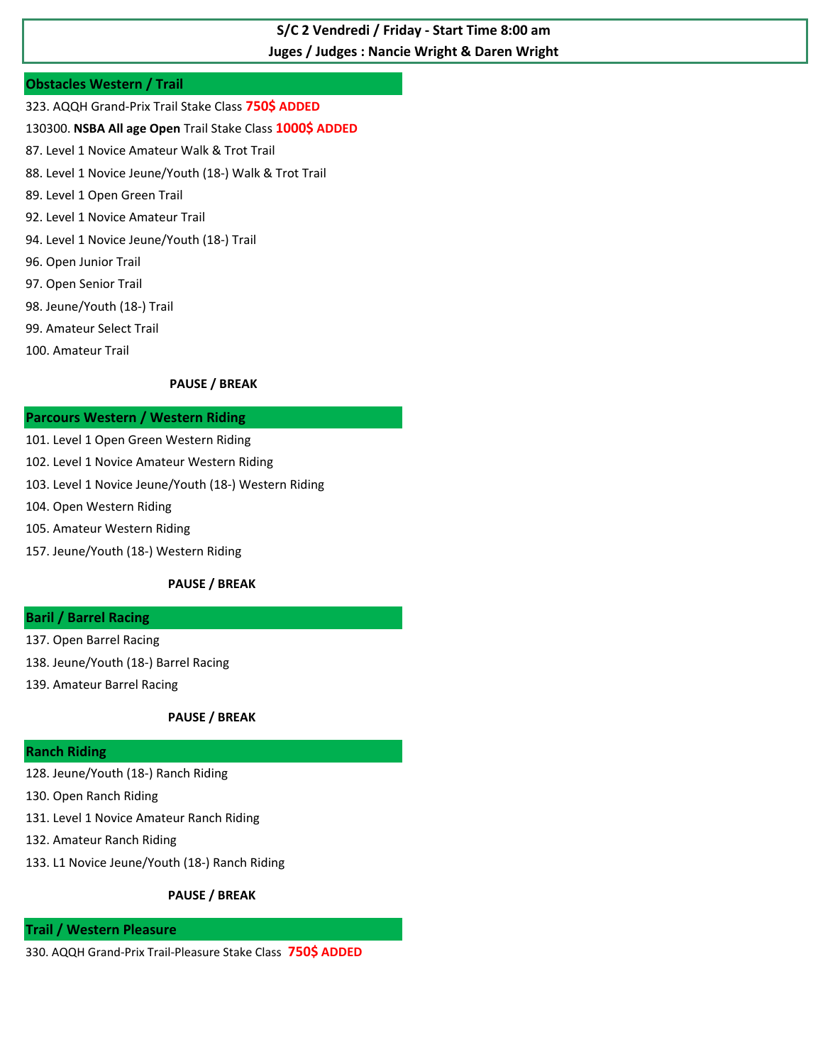## **Juges / Judges : Nancie Wright & Daren Wright S/C 2 Vendredi / Friday - Start Time 8:00 am**

## **Obstacles Western / Trail**

- 323. AQQH Grand-Prix Trail Stake Class **750\$ ADDED**
- 130300. **NSBA All age Open** Trail Stake Class **1000\$ ADDED**
- 87. Level 1 Novice Amateur Walk & Trot Trail
- 88. Level 1 Novice Jeune/Youth (18-) Walk & Trot Trail
- 89. Level 1 Open Green Trail
- 92. Level 1 Novice Amateur Trail
- 94. Level 1 Novice Jeune/Youth (18-) Trail
- 96. Open Junior Trail
- 97. Open Senior Trail
- 98. Jeune/Youth (18-) Trail
- 99. Amateur Select Trail
- 100. Amateur Trail

## **PAUSE / BREAK**

## **Parcours Western / Western Riding**

- 101. Level 1 Open Green Western Riding
- 102. Level 1 Novice Amateur Western Riding
- 103. Level 1 Novice Jeune/Youth (18-) Western Riding
- 104. Open Western Riding
- 105. Amateur Western Riding
- 157. Jeune/Youth (18-) Western Riding

## **PAUSE / BREAK**

## **Baril / Barrel Racing**

- 137. Open Barrel Racing
- 138. Jeune/Youth (18-) Barrel Racing
- 139. Amateur Barrel Racing

## **PAUSE / BREAK**

## **Ranch Riding**

- 128. Jeune/Youth (18-) Ranch Riding
- 130. Open Ranch Riding
- 131. Level 1 Novice Amateur Ranch Riding
- 132. Amateur Ranch Riding
- 133. L1 Novice Jeune/Youth (18-) Ranch Riding

## **PAUSE / BREAK**

### **Trail / Western Pleasure**

330. AQQH Grand-Prix Trail-Pleasure Stake Class **750\$ ADDED**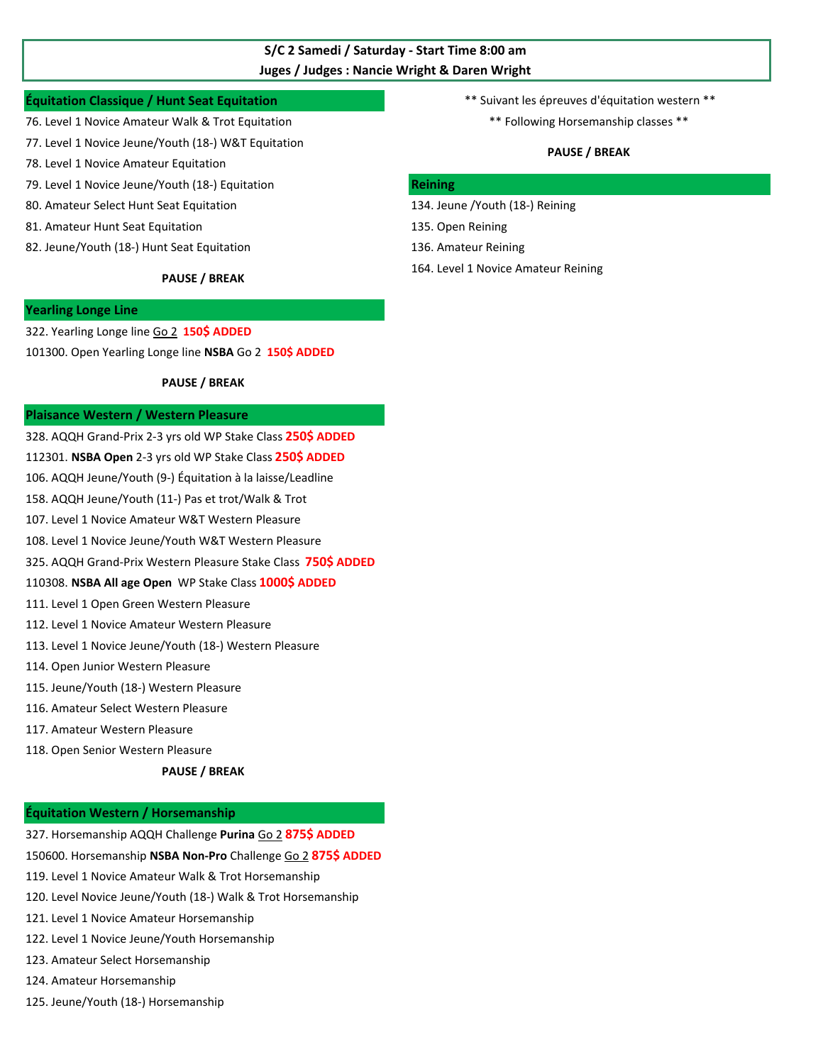## **Juges / Judges : Nancie Wright & Daren Wright S/C 2 Samedi / Saturday - Start Time 8:00 am**

### **Équitation Classique / Hunt Seat Equitation de la comme de la constructe de la constructe de la constructe de l**

- 76. Level 1 Novice Amateur Walk & Trot Equitation  $***$  Following Horsemanship classes \*\*
- 77. Level 1 Novice Jeune/Youth (18-) W&T Equitation
- 78. Level 1 Novice Amateur Equitation
- 79. Level 1 Novice Jeune/Youth (18-) Equitation **Reining**
- 80. Amateur Select Hunt Seat Equitation 134. Jeune /Youth (18-) Reining
- 81. Amateur Hunt Seat Equitation 135. Open Reining
- 82. Jeune/Youth (18-) Hunt Seat Equitation 136. Amateur Reining

#### **PAUSE / BREAK**

### **Yearling Longe Line**

322. Yearling Longe line Go 2 **150\$ ADDED**  101300. Open Yearling Longe line **NSBA** Go 2 **150\$ ADDED**

#### **PAUSE / BREAK**

#### **Plaisance Western / Western Pleasure**

328. AQQH Grand-Prix 2-3 yrs old WP Stake Class **250\$ ADDED**  112301. **NSBA Open** 2-3 yrs old WP Stake Class **250\$ ADDED**  106. AQQH Jeune/Youth (9-) Équitation à la laisse/Leadline 158. AQQH Jeune/Youth (11-) Pas et trot/Walk & Trot

- 107. Level 1 Novice Amateur W&T Western Pleasure
- 108. Level 1 Novice Jeune/Youth W&T Western Pleasure

325. AQQH Grand-Prix Western Pleasure Stake Class **750\$ ADDED** 

#### 110308. **NSBA All age Open** WP Stake Class **1000\$ ADDED**

- 111. Level 1 Open Green Western Pleasure
- 112. Level 1 Novice Amateur Western Pleasure
- 113. Level 1 Novice Jeune/Youth (18-) Western Pleasure
- 114. Open Junior Western Pleasure
- 115. Jeune/Youth (18-) Western Pleasure
- 116. Amateur Select Western Pleasure
- 117. Amateur Western Pleasure
- 118. Open Senior Western Pleasure

#### **PAUSE / BREAK**

#### **Équitation Western / Horsemanship**

- 327. Horsemanship AQQH Challenge **Purina** Go 2 **875\$ ADDED**
- 150600. Horsemanship **NSBA Non-Pro** Challenge Go 2 **875\$ ADDED**
- 119. Level 1 Novice Amateur Walk & Trot Horsemanship
- 120. Level Novice Jeune/Youth (18-) Walk & Trot Horsemanship
- 121. Level 1 Novice Amateur Horsemanship
- 122. Level 1 Novice Jeune/Youth Horsemanship
- 123. Amateur Select Horsemanship
- 124. Amateur Horsemanship
- 125. Jeune/Youth (18-) Horsemanship
- -

### **PAUSE / BREAK**

- 
- 
- 
- 164. Level 1 Novice Amateur Reining